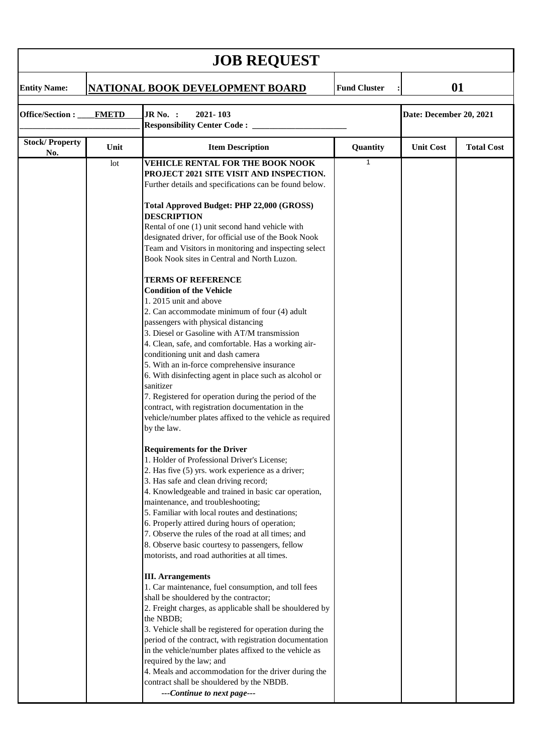| <b>JOB REQUEST</b>              |      |                                                                                                                                                                                                                                                                                                                                                                                                                                                                                                                                                                                                                                                                                                                                                                                                                                                                                                                                                                                                                                                                                                                                                                                                                                                                                                                                                                                                                                                                                                                                                                                                                                                                                                                                                                                                                                                                                                                                                  |                     |                         |                   |  |  |  |  |
|---------------------------------|------|--------------------------------------------------------------------------------------------------------------------------------------------------------------------------------------------------------------------------------------------------------------------------------------------------------------------------------------------------------------------------------------------------------------------------------------------------------------------------------------------------------------------------------------------------------------------------------------------------------------------------------------------------------------------------------------------------------------------------------------------------------------------------------------------------------------------------------------------------------------------------------------------------------------------------------------------------------------------------------------------------------------------------------------------------------------------------------------------------------------------------------------------------------------------------------------------------------------------------------------------------------------------------------------------------------------------------------------------------------------------------------------------------------------------------------------------------------------------------------------------------------------------------------------------------------------------------------------------------------------------------------------------------------------------------------------------------------------------------------------------------------------------------------------------------------------------------------------------------------------------------------------------------------------------------------------------------|---------------------|-------------------------|-------------------|--|--|--|--|
| <b>Entity Name:</b>             |      | <b>NATIONAL BOOK DEVELOPMENT BOARD</b>                                                                                                                                                                                                                                                                                                                                                                                                                                                                                                                                                                                                                                                                                                                                                                                                                                                                                                                                                                                                                                                                                                                                                                                                                                                                                                                                                                                                                                                                                                                                                                                                                                                                                                                                                                                                                                                                                                           | <b>Fund Cluster</b> | 01                      |                   |  |  |  |  |
| Office/Section:<br><b>FMETD</b> |      | JR No. :<br>2021-103<br><b>Responsibility Center Code:</b> _____                                                                                                                                                                                                                                                                                                                                                                                                                                                                                                                                                                                                                                                                                                                                                                                                                                                                                                                                                                                                                                                                                                                                                                                                                                                                                                                                                                                                                                                                                                                                                                                                                                                                                                                                                                                                                                                                                 |                     | Date: December 20, 2021 |                   |  |  |  |  |
| <b>Stock/Property</b>           | Unit | <b>Item Description</b>                                                                                                                                                                                                                                                                                                                                                                                                                                                                                                                                                                                                                                                                                                                                                                                                                                                                                                                                                                                                                                                                                                                                                                                                                                                                                                                                                                                                                                                                                                                                                                                                                                                                                                                                                                                                                                                                                                                          | Quantity            | <b>Unit Cost</b>        | <b>Total Cost</b> |  |  |  |  |
| No.                             | lot  | VEHICLE RENTAL FOR THE BOOK NOOK<br>PROJECT 2021 SITE VISIT AND INSPECTION.<br>Further details and specifications can be found below.<br>Total Approved Budget: PHP 22,000 (GROSS)<br><b>DESCRIPTION</b><br>Rental of one (1) unit second hand vehicle with<br>designated driver, for official use of the Book Nook<br>Team and Visitors in monitoring and inspecting select<br>Book Nook sites in Central and North Luzon.<br><b>TERMS OF REFERENCE</b><br><b>Condition of the Vehicle</b><br>1. 2015 unit and above<br>2. Can accommodate minimum of four (4) adult<br>passengers with physical distancing<br>3. Diesel or Gasoline with AT/M transmission<br>4. Clean, safe, and comfortable. Has a working air-<br>conditioning unit and dash camera<br>5. With an in-force comprehensive insurance<br>6. With disinfecting agent in place such as alcohol or<br>sanitizer<br>7. Registered for operation during the period of the<br>contract, with registration documentation in the<br>vehicle/number plates affixed to the vehicle as required<br>by the law.<br><b>Requirements for the Driver</b><br>1. Holder of Professional Driver's License;<br>2. Has five (5) yrs. work experience as a driver;<br>3. Has safe and clean driving record;<br>4. Knowledgeable and trained in basic car operation,<br>maintenance, and troubleshooting;<br>5. Familiar with local routes and destinations;<br>6. Properly attired during hours of operation;<br>7. Observe the rules of the road at all times; and<br>8. Observe basic courtesy to passengers, fellow<br>motorists, and road authorities at all times.<br><b>III.</b> Arrangements<br>1. Car maintenance, fuel consumption, and toll fees<br>shall be shouldered by the contractor;<br>2. Freight charges, as applicable shall be shouldered by<br>the NBDB;<br>3. Vehicle shall be registered for operation during the<br>period of the contract, with registration documentation | 1                   |                         |                   |  |  |  |  |
|                                 |      | in the vehicle/number plates affixed to the vehicle as<br>required by the law; and<br>4. Meals and accommodation for the driver during the<br>contract shall be shouldered by the NBDB.<br>---Continue to next page---                                                                                                                                                                                                                                                                                                                                                                                                                                                                                                                                                                                                                                                                                                                                                                                                                                                                                                                                                                                                                                                                                                                                                                                                                                                                                                                                                                                                                                                                                                                                                                                                                                                                                                                           |                     |                         |                   |  |  |  |  |